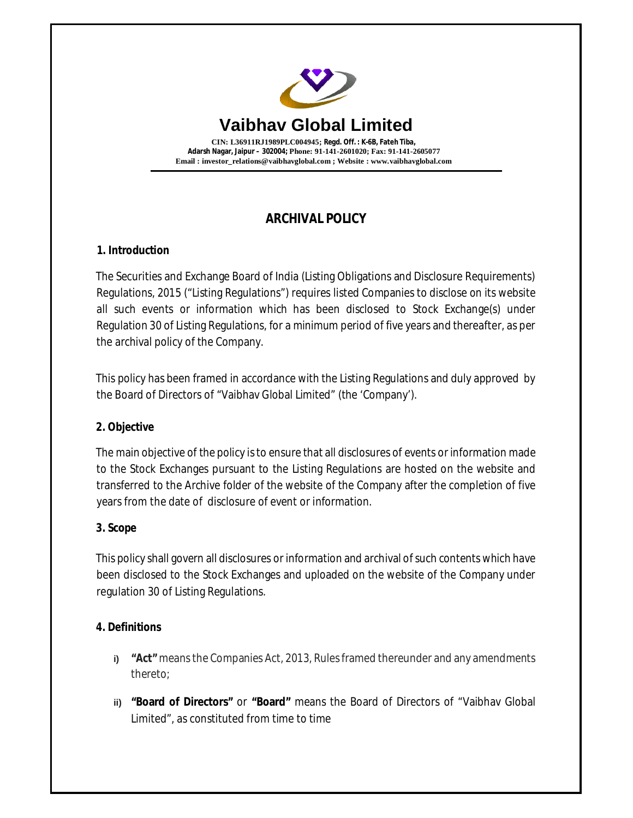

# **ARCHIVAL POLICY**

## **1. Introduction**

The Securities and Exchange Board of India (Listing Obligations and Disclosure Requirements) Regulations, 2015 ("Listing Regulations") requires listed Companies to disclose on its website all such events or information which has been disclosed to Stock Exchange(s) under Regulation 30 of Listing Regulations, for a minimum period of five years and thereafter, as per the archival policy of the Company.

This policy has been framed in accordance with the Listing Regulations and duly approved by the Board of Directors of "Vaibhav Global Limited" (the 'Company').

### **2. Objective**

The main objective of the policy is to ensure that all disclosures of events or information made to the Stock Exchanges pursuant to the Listing Regulations are hosted on the website and transferred to the Archive folder of the website of the Company after the completion of five years from the date of disclosure of event or information.

### **3. Scope**

This policy shall govern all disclosures or information and archival of such contents which have been disclosed to the Stock Exchanges and uploaded on the website of the Company under regulation 30 of Listing Regulations.

## **4. Definitions**

- **i) "Act"** means the Companies Act, 2013, Rules framed thereunder and any amendments thereto;
- **ii) "Board of Directors"** or **"Board"** means the Board of Directors of "Vaibhav Global Limited", as constituted from time to time